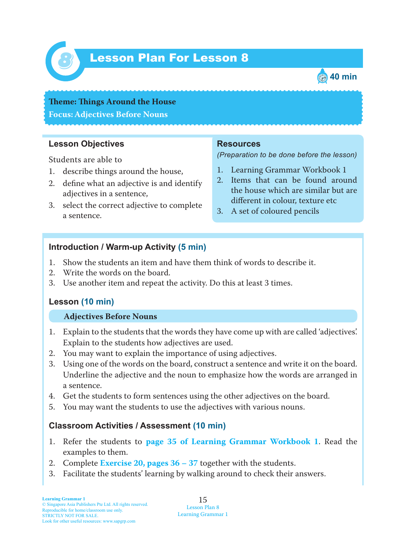

# *8* Lesson Plan For Lesson 8



**Theme: Things Around the House Focus: Adjectives Before Nouns**

## **Lesson Objectives**

Students are able to

- 1. describe things around the house,
- 2. define what an adjective is and identify adjectives in a sentence,
- 3. select the correct adjective to complete a sentence.

#### **Resources**

*(Preparation to be done before the lesson)*

- 1. Learning Grammar Workbook 1
- 2. Items that can be found around the house which are similar but are different in colour, texture etc
- 3. A set of coloured pencils

## **Introduction / Warm-up Activity (5 min)**

- 1. Show the students an item and have them think of words to describe it.
- 2. Write the words on the board.
- 3. Use another item and repeat the activity. Do this at least 3 times.

## **Lesson (10 min)**

#### **Adjectives Before Nouns**

- 1. Explain to the students that the words they have come up with are called 'adjectives'. Explain to the students how adjectives are used.
- 2. You may want to explain the importance of using adjectives.
- 3. Using one of the words on the board, construct a sentence and write it on the board. Underline the adjective and the noun to emphasize how the words are arranged in a sentence.
- 4. Get the students to form sentences using the other adjectives on the board.
- 5. You may want the students to use the adjectives with various nouns.

## **Classroom Activities / Assessment (10 min)**

- 1. Refer the students to **page 35 of Learning Grammar Workbook 1**. Read the examples to them.
- 2. Complete **Exercise 20, pages 36 – 37** together with the students.
- 3. Facilitate the students' learning by walking around to check their answers.

15 Lesson Plan 8 Learning Grammar 1